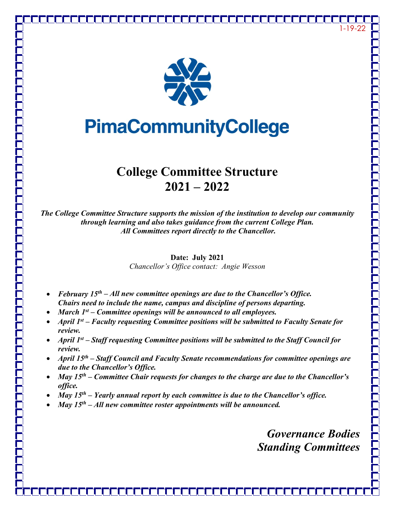



# **PimaCommunityCollege**

## **College Committee Structure 2021 – 2022**

*The College Committee Structure supports the mission of the institution to develop our community through learning and also takes guidance from the current College Plan. All Committees report directly to the Chancellor.*

> **Date: July 2021** *Chancellor's Office contact: Angie Wesson*

- *February 15th – All new committee openings are due to the Chancellor's Office. Chairs need to include the name, campus and discipline of persons departing.*
- *March 1st – Committee openings will be announced to all employees.*
- *April 1st – Faculty requesting Committee positions will be submitted to Faculty Senate for review.*
- *April 1st – Staff requesting Committee positions will be submitted to the Staff Council for review.*
- *April 15th – Staff Council and Faculty Senate recommendations for committee openings are due to the Chancellor's Office.*
- *May 15th – Committee Chair requests for changes to the charge are due to the Chancellor's office.*
- *May 15th – Yearly annual report by each committee is due to the Chancellor's office.*
- *May 15th – All new committee roster appointments will be announced.*

*Governance Bodies Standing Committees*

1-19-22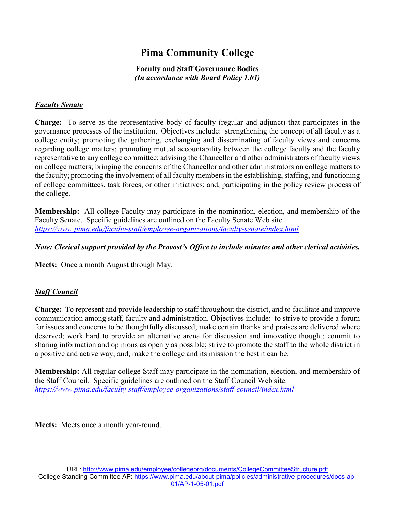### **Pima Community College**

#### **Faculty and Staff Governance Bodies** *(In accordance with Board Policy 1.01)*

#### *Faculty Senate*

**Charge:** To serve as the representative body of faculty (regular and adjunct) that participates in the governance processes of the institution. Objectives include: strengthening the concept of all faculty as a college entity; promoting the gathering, exchanging and disseminating of faculty views and concerns regarding college matters; promoting mutual accountability between the college faculty and the faculty representative to any college committee; advising the Chancellor and other administrators of faculty views on college matters; bringing the concerns of the Chancellor and other administrators on college matters to the faculty; promoting the involvement of all faculty members in the establishing, staffing, and functioning of college committees, task forces, or other initiatives; and, participating in the policy review process of the college.

**Membership:** All college Faculty may participate in the nomination, election, and membership of the Faculty Senate. Specific guidelines are outlined on the Faculty Senate Web site. *<https://www.pima.edu/faculty-staff/employee-organizations/faculty-senate/index.html>*

#### *Note: Clerical support provided by the Provost's Office to include minutes and other clerical activities.*

**Meets:** Once a month August through May.

#### *Staff Council*

**Charge:** To represent and provide leadership to staff throughout the district, and to facilitate and improve communication among staff, faculty and administration. Objectives include: to strive to provide a forum for issues and concerns to be thoughtfully discussed; make certain thanks and praises are delivered where deserved; work hard to provide an alternative arena for discussion and innovative thought; commit to sharing information and opinions as openly as possible; strive to promote the staff to the whole district in a positive and active way; and, make the college and its mission the best it can be.

**Membership:** All regular college Staff may participate in the nomination, election, and membership of the Staff Council. Specific guidelines are outlined on the Staff Council Web site. *<https://www.pima.edu/faculty-staff/employee-organizations/staff-council/index.html>*

**Meets:** Meets once a month year-round.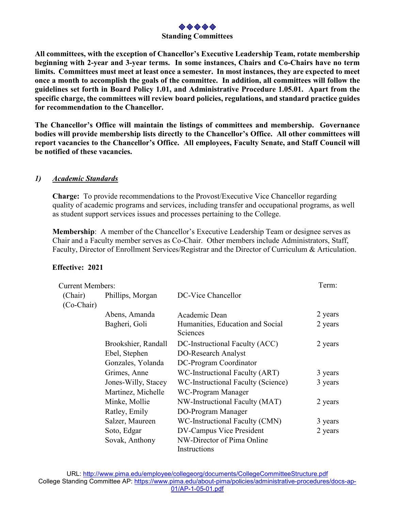

**All committees, with the exception of Chancellor's Executive Leadership Team, rotate membership beginning with 2-year and 3-year terms. In some instances, Chairs and Co-Chairs have no term limits. Committees must meet at least once a semester. In most instances, they are expected to meet once a month to accomplish the goals of the committee. In addition, all committees will follow the guidelines set forth in Board Policy 1.01, and Administrative Procedure 1.05.01. Apart from the specific charge, the committees will review board policies, regulations, and standard practice guides for recommendation to the Chancellor.**

**The Chancellor's Office will maintain the listings of committees and membership. Governance bodies will provide membership lists directly to the Chancellor's Office. All other committees will report vacancies to the Chancellor's Office. All employees, Faculty Senate, and Staff Council will be notified of these vacancies.** 

#### *1) Academic Standards*

**Charge:** To provide recommendations to the Provost/Executive Vice Chancellor regarding quality of academic programs and services, including transfer and occupational programs, as well as student support services issues and processes pertaining to the College.

**Membership**: A member of the Chancellor's Executive Leadership Team or designee serves as Chair and a Faculty member serves as Co-Chair. Other members include Administrators, Staff, Faculty, Director of Enrollment Services/Registrar and the Director of Curriculum & Articulation.

#### **Effective: 2021**

| <b>Current Members:</b> |                     |                                              | Term:   |
|-------------------------|---------------------|----------------------------------------------|---------|
| (Chair)<br>$(Co-Chair)$ | Phillips, Morgan    | DC-Vice Chancellor                           |         |
|                         | Abens, Amanda       | Academic Dean                                | 2 years |
|                         | Bagheri, Goli       | Humanities, Education and Social<br>Sciences | 2 years |
|                         | Brookshier, Randall | DC-Instructional Faculty (ACC)               | 2 years |
|                         | Ebel, Stephen       | DO-Research Analyst                          |         |
|                         | Gonzales, Yolanda   | DC-Program Coordinator                       |         |
|                         | Grimes, Anne        | WC-Instructional Faculty (ART)               | 3 years |
|                         | Jones-Willy, Stacey | WC-Instructional Faculty (Science)           | 3 years |
|                         | Martinez, Michelle  | WC-Program Manager                           |         |
|                         | Minke, Mollie       | NW-Instructional Faculty (MAT)               | 2 years |
|                         | Ratley, Emily       | DO-Program Manager                           |         |
|                         | Salzer, Maureen     | WC-Instructional Faculty (CMN)               | 3 years |
|                         | Soto, Edgar         | DV-Campus Vice President                     | 2 years |
|                         | Sovak, Anthony      | NW-Director of Pima Online                   |         |
|                         |                     | Instructions                                 |         |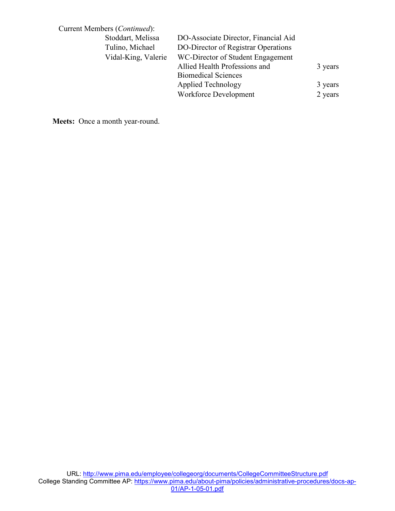| Current Members (Continued): |                     |                                      |         |
|------------------------------|---------------------|--------------------------------------|---------|
|                              | Stoddart, Melissa   | DO-Associate Director, Financial Aid |         |
|                              | Tulino, Michael     | DO-Director of Registrar Operations  |         |
|                              | Vidal-King, Valerie | WC-Director of Student Engagement    |         |
|                              |                     | Allied Health Professions and        | 3 years |
|                              |                     | <b>Biomedical Sciences</b>           |         |
|                              |                     | Applied Technology                   | 3 years |
|                              |                     | Workforce Development                | 2 years |

**Meets:** Once a month year-round.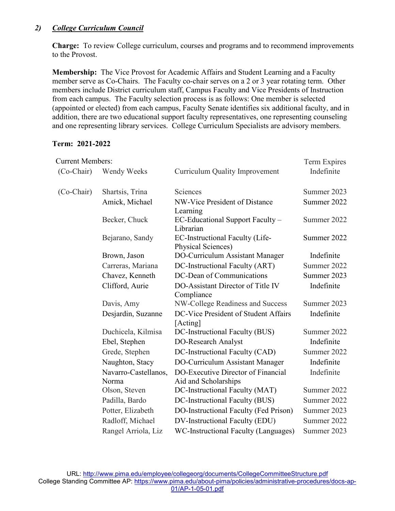#### *2) College Curriculum Council*

**Charge:** To review College curriculum, courses and programs and to recommend improvements to the Provost.

**Membership:** The Vice Provost for Academic Affairs and Student Learning and a Faculty member serve as Co-Chairs. The Faculty co-chair serves on a 2 or 3 year rotating term. Other members include District curriculum staff, Campus Faculty and Vice Presidents of Instruction from each campus. The Faculty selection process is as follows: One member is selected (appointed or elected) from each campus, Faculty Senate identifies six additional faculty, and in addition, there are two educational support faculty representatives, one representing counseling and one representing library services. College Curriculum Specialists are advisory members.

#### **Term: 2021-2022**

| <b>Current Members:</b> |                               |                                                              | Term Expires |
|-------------------------|-------------------------------|--------------------------------------------------------------|--------------|
| (Co-Chair)              | Wendy Weeks                   | <b>Curriculum Quality Improvement</b>                        | Indefinite   |
| $(Co-Chair)$            | Shartsis, Trina               | Sciences                                                     | Summer 2023  |
|                         | Amick, Michael                | NW-Vice President of Distance<br>Learning                    | Summer 2022  |
|                         | Becker, Chuck                 | EC-Educational Support Faculty -<br>Librarian                | Summer 2022  |
|                         | Bejarano, Sandy               | EC-Instructional Faculty (Life-<br><b>Physical Sciences)</b> | Summer 2022  |
|                         | Brown, Jason                  | DO-Curriculum Assistant Manager                              | Indefinite   |
|                         | Carreras, Mariana             | DC-Instructional Faculty (ART)                               | Summer 2022  |
|                         | Chavez, Kenneth               | DC-Dean of Communications                                    | Summer 2023  |
|                         | Clifford, Aurie               | DO-Assistant Director of Title IV<br>Compliance              | Indefinite   |
|                         | Davis, Amy                    | NW-College Readiness and Success                             | Summer 2023  |
|                         | Desjardin, Suzanne            | DC-Vice President of Student Affairs<br>[Acting]             | Indefinite   |
|                         | Duchicela, Kilmisa            | DC-Instructional Faculty (BUS)                               | Summer 2022  |
|                         | Ebel, Stephen                 | DO-Research Analyst                                          | Indefinite   |
|                         | Grede, Stephen                | DC-Instructional Faculty (CAD)                               | Summer 2022  |
|                         | Naughton, Stacy               | DO-Curriculum Assistant Manager                              | Indefinite   |
|                         | Navarro-Castellanos,<br>Norma | DO-Executive Director of Financial<br>Aid and Scholarships   | Indefinite   |
|                         | Olson, Steven                 | DC-Instructional Faculty (MAT)                               | Summer 2022  |
|                         | Padilla, Bardo                | DC-Instructional Faculty (BUS)                               | Summer 2022  |
|                         | Potter, Elizabeth             | DO-Instructional Faculty (Fed Prison)                        | Summer 2023  |
|                         | Radloff, Michael              | DV-Instructional Faculty (EDU)                               | Summer 2022  |
|                         | Rangel Arriola, Liz           | WC-Instructional Faculty (Languages)                         | Summer 2023  |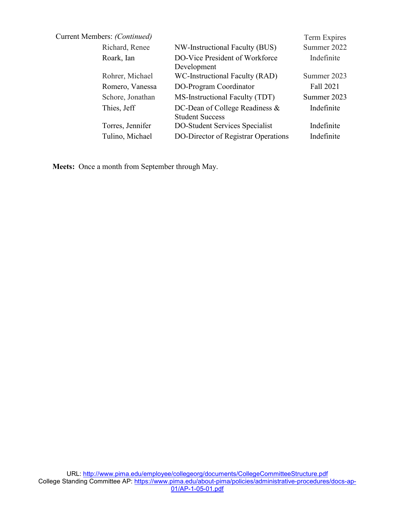| Current Members: (Continued) |                                                          | Term Expires |
|------------------------------|----------------------------------------------------------|--------------|
| Richard, Renee               | NW-Instructional Faculty (BUS)                           | Summer 2022  |
| Roark, Ian                   | DO-Vice President of Workforce<br>Development            | Indefinite   |
| Rohrer, Michael              | WC-Instructional Faculty (RAD)                           | Summer 2023  |
| Romero, Vanessa              | DO-Program Coordinator                                   | Fall 2021    |
| Schore, Jonathan             | MS-Instructional Faculty (TDT)                           | Summer 2023  |
| Thies, Jeff                  | DC-Dean of College Readiness &<br><b>Student Success</b> | Indefinite   |
| Torres, Jennifer             | DO-Student Services Specialist                           | Indefinite   |
| Tulino, Michael              | DO-Director of Registrar Operations                      | Indefinite   |
|                              |                                                          |              |

**Meets:** Once a month from September through May.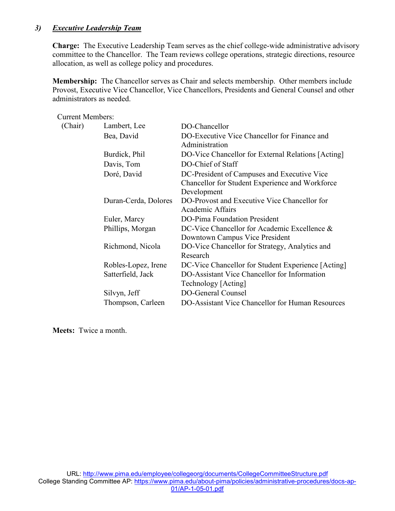#### *3) Executive Leadership Team*

**Charge:** The Executive Leadership Team serves as the chief college-wide administrative advisory committee to the Chancellor. The Team reviews college operations, strategic directions, resource allocation, as well as college policy and procedures.

**Membership:** The Chancellor serves as Chair and selects membership. Other members include Provost, Executive Vice Chancellor, Vice Chancellors, Presidents and General Counsel and other administrators as needed.

| <b>Current Members:</b> |                      |                                                                                |
|-------------------------|----------------------|--------------------------------------------------------------------------------|
| (Chair)                 | Lambert, Lee         | DO-Chancellor                                                                  |
|                         | Bea, David           | DO-Executive Vice Chancellor for Finance and<br>Administration                 |
|                         | Burdick, Phil        | DO-Vice Chancellor for External Relations [Acting]                             |
|                         | Davis, Tom           | DO-Chief of Staff                                                              |
|                         | Doré, David          | DC-President of Campuses and Executive Vice                                    |
|                         |                      | Chancellor for Student Experience and Workforce<br>Development                 |
|                         | Duran-Cerda, Dolores | DO-Provost and Executive Vice Chancellor for<br><b>Academic Affairs</b>        |
|                         | Euler, Marcy         | DO-Pima Foundation President                                                   |
|                         | Phillips, Morgan     | DC-Vice Chancellor for Academic Excellence &<br>Downtown Campus Vice President |
|                         | Richmond, Nicola     | DO-Vice Chancellor for Strategy, Analytics and<br>Research                     |
|                         | Robles-Lopez, Irene  | DC-Vice Chancellor for Student Experience [Acting]                             |
|                         | Satterfield, Jack    | DO-Assistant Vice Chancellor for Information<br>Technology [Acting]            |
|                         | Silvyn, Jeff         | <b>DO-General Counsel</b>                                                      |
|                         | Thompson, Carleen    | DO-Assistant Vice Chancellor for Human Resources                               |

**Meets:** Twice a month.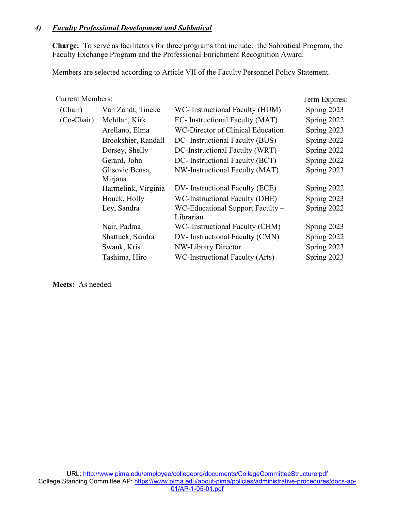#### *4) Faculty Professional Development and Sabbatical*

**Charge:** To serve as facilitators for three programs that include: the Sabbatical Program, the Faculty Exchange Program and the Professional Enrichment Recognition Award.

Members are selected according to Article VII of the Faculty Personnel Policy Statement.

#### Current Members: Term Expires:

| (Chair)    | Van Zandt, Tineke   | WC- Instructional Faculty (HUM)   | Spring 2023 |
|------------|---------------------|-----------------------------------|-------------|
| (Co-Chair) | Mehtlan, Kirk       | EC- Instructional Faculty (MAT)   | Spring 2022 |
|            | Arellano, Elma      | WC-Director of Clinical Education | Spring 2023 |
|            | Brookshier, Randall | DC- Instructional Faculty (BUS)   | Spring 2022 |
|            | Dorsey, Shelly      | DC-Instructional Faculty (WRT)    | Spring 2022 |
|            | Gerard, John        | DC- Instructional Faculty (BCT)   | Spring 2022 |
|            | Glisovic Bensa,     | NW-Instructional Faculty (MAT)    | Spring 2023 |
|            | Mirjana             |                                   |             |
|            | Harmelink, Virginia | DV-Instructional Faculty (ECE)    | Spring 2022 |
|            | Houck, Holly        | WC-Instructional Faculty (DHE)    | Spring 2023 |
|            | Ley, Sandra         | WC-Educational Support Faculty –  | Spring 2022 |
|            |                     | Librarian                         |             |
|            | Nair, Padma         | WC- Instructional Faculty (CHM)   | Spring 2023 |
|            | Shattuck, Sandra    | DV- Instructional Faculty (CMN)   | Spring 2022 |
|            | Swank, Kris         | NW-Library Director               | Spring 2023 |
|            | Tashima, Hiro       | WC-Instructional Faculty (Arts)   | Spring 2023 |
|            |                     |                                   |             |

**Meets:** As needed.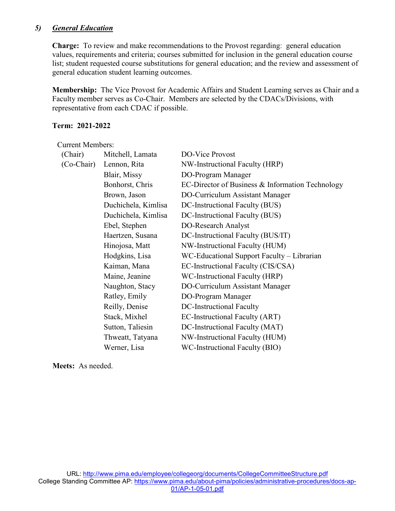#### *5) General Education*

**Charge:** To review and make recommendations to the Provost regarding: general education values, requirements and criteria; courses submitted for inclusion in the general education course list; student requested course substitutions for general education; and the review and assessment of general education student learning outcomes.

**Membership:** The Vice Provost for Academic Affairs and Student Learning serves as Chair and a Faculty member serves as Co-Chair. Members are selected by the CDACs/Divisions, with representative from each CDAC if possible.

#### **Term: 2021-2022**

Current Members:

| (Chair)      | Mitchell, Lamata    | DO-Vice Provost                                  |
|--------------|---------------------|--------------------------------------------------|
| $(Co-Chair)$ | Lennon, Rita        | NW-Instructional Faculty (HRP)                   |
|              | Blair, Missy        | DO-Program Manager                               |
|              | Bonhorst, Chris     | EC-Director of Business & Information Technology |
|              | Brown, Jason        | DO-Curriculum Assistant Manager                  |
|              | Duchichela, Kimlisa | DC-Instructional Faculty (BUS)                   |
|              | Duchichela, Kimlisa | DC-Instructional Faculty (BUS)                   |
|              | Ebel, Stephen       | DO-Research Analyst                              |
|              | Haertzen, Susana    | DC-Instructional Faculty (BUS/IT)                |
|              | Hinojosa, Matt      | NW-Instructional Faculty (HUM)                   |
|              | Hodgkins, Lisa      | WC-Educational Support Faculty – Librarian       |
|              | Kaiman, Mana        | EC-Instructional Faculty (CIS/CSA)               |
|              | Maine, Jeanine      | WC-Instructional Faculty (HRP)                   |
|              | Naughton, Stacy     | DO-Curriculum Assistant Manager                  |
|              | Ratley, Emily       | DO-Program Manager                               |
|              | Reilly, Denise      | DC-Instructional Faculty                         |
|              | Stack, Mixhel       | EC-Instructional Faculty (ART)                   |
|              | Sutton, Taliesin    | DC-Instructional Faculty (MAT)                   |
|              | Thweatt, Tatyana    | NW-Instructional Faculty (HUM)                   |
|              | Werner, Lisa        | WC-Instructional Faculty (BIO)                   |

**Meets:** As needed.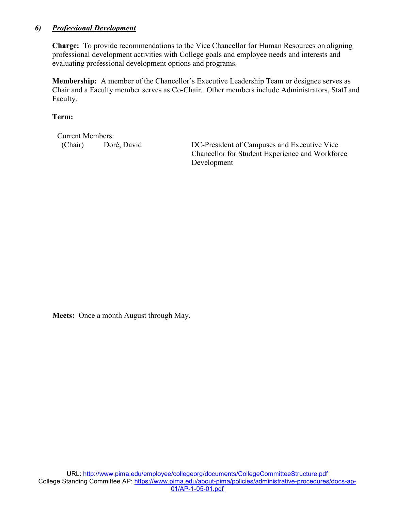#### *6) Professional Development*

**Charge:** To provide recommendations to the Vice Chancellor for Human Resources on aligning professional development activities with College goals and employee needs and interests and evaluating professional development options and programs.

**Membership:** A member of the Chancellor's Executive Leadership Team or designee serves as Chair and a Faculty member serves as Co-Chair. Other members include Administrators, Staff and Faculty.

**Term:** 

Current Members:

(Chair) Doré, David DC-President of Campuses and Executive Vice Chancellor for Student Experience and Workforce Development

**Meets:** Once a month August through May.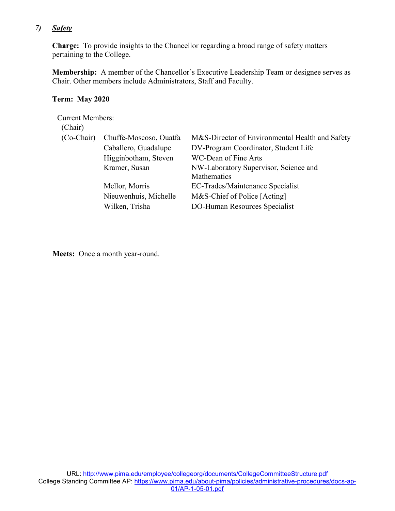#### *7) Safety*

**Charge:** To provide insights to the Chancellor regarding a broad range of safety matters pertaining to the College.

**Membership:** A member of the Chancellor's Executive Leadership Team or designee serves as Chair. Other members include Administrators, Staff and Faculty.

#### **Term: May 2020**

Current Members: (Chair) (Co-Chair) Chuffe-Moscoso, Ouatfa M&S-Director of Environmental Health and Safety Caballero, Guadalupe DV-Program Coordinator, Student Life Higginbotham, Steven WC-Dean of Fine Arts Kramer, Susan NW-Laboratory Supervisor, Science and Mathematics Mellor, Morris EC-Trades/Maintenance Specialist Nieuwenhuis, Michelle M&S-Chief of Police [Acting] Wilken, Trisha DO-Human Resources Specialist

**Meets:** Once a month year-round.